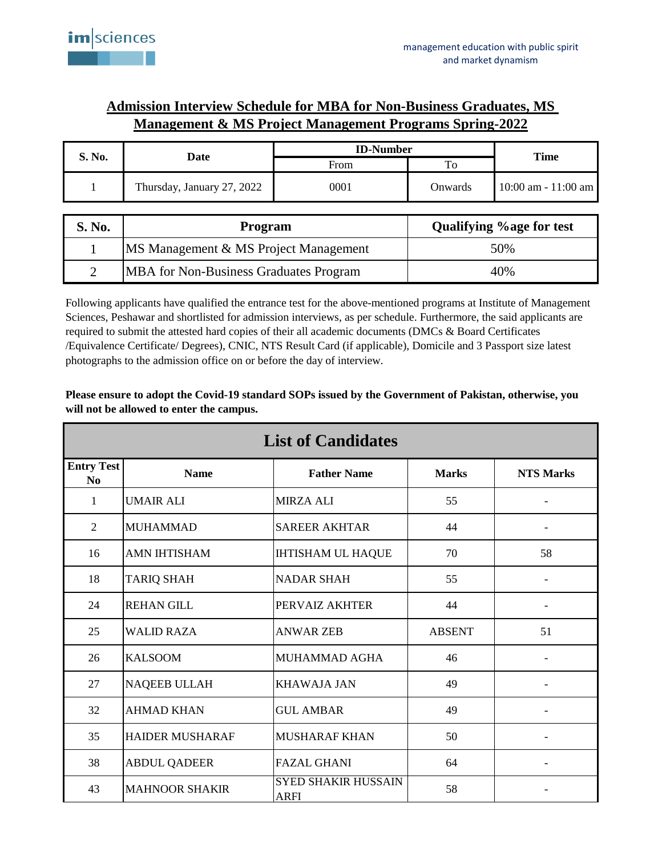## **Admission Interview Schedule for MBA for Non-Business Graduates, MS Management & MS Project Management Programs Spring-2022**

| S. No.         | Date                                          | <b>ID-Number</b> |                                  |                         |
|----------------|-----------------------------------------------|------------------|----------------------------------|-------------------------|
|                |                                               | From             | To                               | Time                    |
|                | Thursday, January 27, 2022                    | 0001             | Onwards                          | $10:00$ am - $11:00$ am |
|                |                                               |                  |                                  |                         |
| S. No.         | Program                                       |                  | <b>Qualifying % age for test</b> |                         |
|                | MS Management & MS Project Management         |                  | 50%                              |                         |
| $\overline{2}$ | <b>MBA</b> for Non-Business Graduates Program |                  | 40%                              |                         |

Following applicants have qualified the entrance test for the above-mentioned programs at Institute of Management Sciences, Peshawar and shortlisted for admission interviews, as per schedule. Furthermore, the said applicants are required to submit the attested hard copies of their all academic documents (DMCs & Board Certificates /Equivalence Certificate/ Degrees), CNIC, NTS Result Card (if applicable), Domicile and 3 Passport size latest photographs to the admission office on or before the day of interview.

## **Please ensure to adopt the Covid-19 standard SOPs issued by the Government of Pakistan, otherwise, you will not be allowed to enter the campus.**

| <b>List of Candidates</b>           |                        |                                           |               |                          |  |  |  |
|-------------------------------------|------------------------|-------------------------------------------|---------------|--------------------------|--|--|--|
| <b>Entry Test</b><br>N <sub>0</sub> | <b>Name</b>            | <b>Father Name</b>                        | <b>Marks</b>  | <b>NTS Marks</b>         |  |  |  |
| 1                                   | UMAIR ALI              | <b>MIRZA ALI</b>                          | 55            |                          |  |  |  |
| 2                                   | <b>MUHAMMAD</b>        | <b>SAREER AKHTAR</b>                      | 44            | $\overline{\phantom{a}}$ |  |  |  |
| 16                                  | <b>AMN IHTISHAM</b>    | <b>IHTISHAM UL HAQUE</b>                  | 70            | 58                       |  |  |  |
| 18                                  | TARIQ SHAH             | <b>NADAR SHAH</b>                         | 55            | $\overline{\phantom{0}}$ |  |  |  |
| 24                                  | <b>REHAN GILL</b>      | PERVAIZ AKHTER                            | 44            |                          |  |  |  |
| 25                                  | <b>WALID RAZA</b>      | <b>ANWAR ZEB</b>                          | <b>ABSENT</b> | 51                       |  |  |  |
| 26                                  | <b>KALSOOM</b>         | MUHAMMAD AGHA                             | 46            |                          |  |  |  |
| 27                                  | <b>NAQEEB ULLAH</b>    | <b>KHAWAJA JAN</b>                        | 49            |                          |  |  |  |
| 32                                  | <b>AHMAD KHAN</b>      | <b>GUL AMBAR</b>                          | 49            |                          |  |  |  |
| 35                                  | <b>HAIDER MUSHARAF</b> | <b>MUSHARAF KHAN</b>                      | 50            |                          |  |  |  |
| 38                                  | <b>ABDUL QADEER</b>    | <b>FAZAL GHANI</b>                        | 64            |                          |  |  |  |
| 43                                  | <b>MAHNOOR SHAKIR</b>  | <b>SYED SHAKIR HUSSAIN</b><br><b>ARFI</b> | 58            |                          |  |  |  |